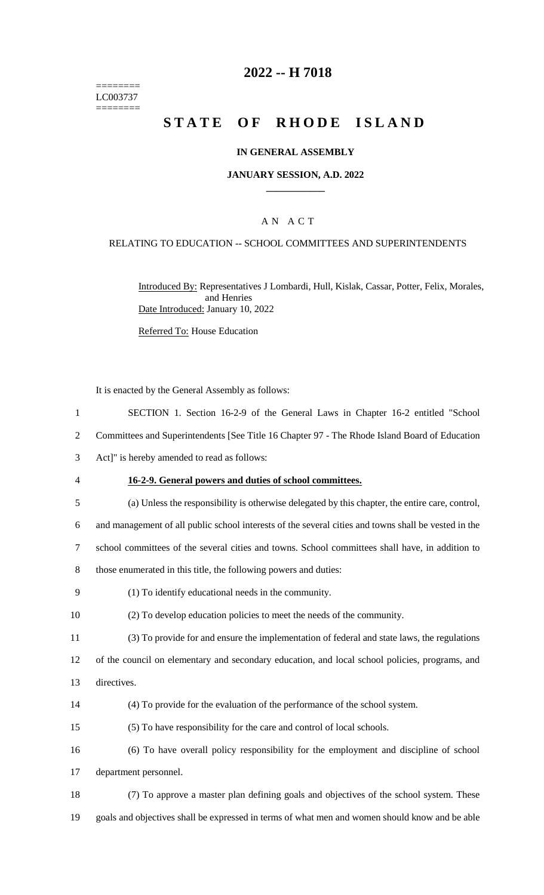======== LC003737  $=$ 

# **2022 -- H 7018**

# STATE OF RHODE ISLAND

## **IN GENERAL ASSEMBLY**

## **JANUARY SESSION, A.D. 2022 \_\_\_\_\_\_\_\_\_\_\_\_**

## A N A C T

## RELATING TO EDUCATION -- SCHOOL COMMITTEES AND SUPERINTENDENTS

Introduced By: Representatives J Lombardi, Hull, Kislak, Cassar, Potter, Felix, Morales, and Henries Date Introduced: January 10, 2022

Referred To: House Education

|                | It is enacted by the General Assembly as follows:                                                    |
|----------------|------------------------------------------------------------------------------------------------------|
| $\mathbf{1}$   | SECTION 1. Section 16-2-9 of the General Laws in Chapter 16-2 entitled "School                       |
| $\overline{2}$ | Committees and Superintendents [See Title 16 Chapter 97 - The Rhode Island Board of Education        |
| 3              | Act]" is hereby amended to read as follows:                                                          |
| $\overline{4}$ | 16-2-9. General powers and duties of school committees.                                              |
| 5              | (a) Unless the responsibility is otherwise delegated by this chapter, the entire care, control,      |
| 6              | and management of all public school interests of the several cities and towns shall be vested in the |
| $\tau$         | school committees of the several cities and towns. School committees shall have, in addition to      |
| 8              | those enumerated in this title, the following powers and duties:                                     |
| 9              | (1) To identify educational needs in the community.                                                  |
| 10             | (2) To develop education policies to meet the needs of the community.                                |
| 11             | (3) To provide for and ensure the implementation of federal and state laws, the regulations          |
| 12             | of the council on elementary and secondary education, and local school policies, programs, and       |
| 13             | directives.                                                                                          |
| 14             | (4) To provide for the evaluation of the performance of the school system.                           |
| 15             | (5) To have responsibility for the care and control of local schools.                                |
| 16             | (6) To have overall policy responsibility for the employment and discipline of school                |
| 17             | department personnel.                                                                                |
| 18             | (7) To approve a master plan defining goals and objectives of the school system. These               |
| 19             | goals and objectives shall be expressed in terms of what men and women should know and be able       |
|                |                                                                                                      |
|                |                                                                                                      |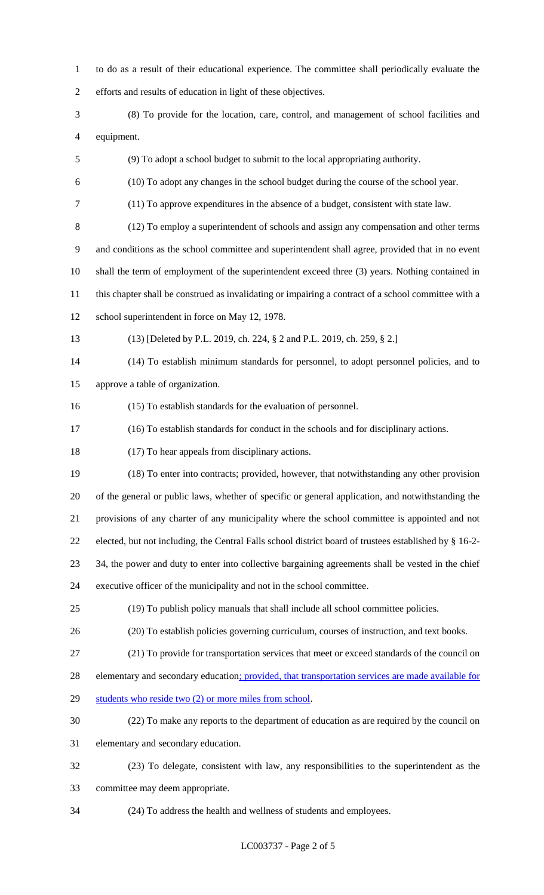to do as a result of their educational experience. The committee shall periodically evaluate the efforts and results of education in light of these objectives. (8) To provide for the location, care, control, and management of school facilities and equipment. (9) To adopt a school budget to submit to the local appropriating authority. (10) To adopt any changes in the school budget during the course of the school year. (11) To approve expenditures in the absence of a budget, consistent with state law. (12) To employ a superintendent of schools and assign any compensation and other terms and conditions as the school committee and superintendent shall agree, provided that in no event shall the term of employment of the superintendent exceed three (3) years. Nothing contained in this chapter shall be construed as invalidating or impairing a contract of a school committee with a school superintendent in force on May 12, 1978. (13) [Deleted by P.L. 2019, ch. 224, § 2 and P.L. 2019, ch. 259, § 2.] (14) To establish minimum standards for personnel, to adopt personnel policies, and to approve a table of organization. (15) To establish standards for the evaluation of personnel. (16) To establish standards for conduct in the schools and for disciplinary actions. (17) To hear appeals from disciplinary actions. (18) To enter into contracts; provided, however, that notwithstanding any other provision of the general or public laws, whether of specific or general application, and notwithstanding the provisions of any charter of any municipality where the school committee is appointed and not elected, but not including, the Central Falls school district board of trustees established by § 16-2- 34, the power and duty to enter into collective bargaining agreements shall be vested in the chief executive officer of the municipality and not in the school committee. (19) To publish policy manuals that shall include all school committee policies. (20) To establish policies governing curriculum, courses of instruction, and text books. (21) To provide for transportation services that meet or exceed standards of the council on 28 elementary and secondary education; provided, that transportation services are made available for 29 students who reside two (2) or more miles from school. (22) To make any reports to the department of education as are required by the council on elementary and secondary education. (23) To delegate, consistent with law, any responsibilities to the superintendent as the committee may deem appropriate.

(24) To address the health and wellness of students and employees.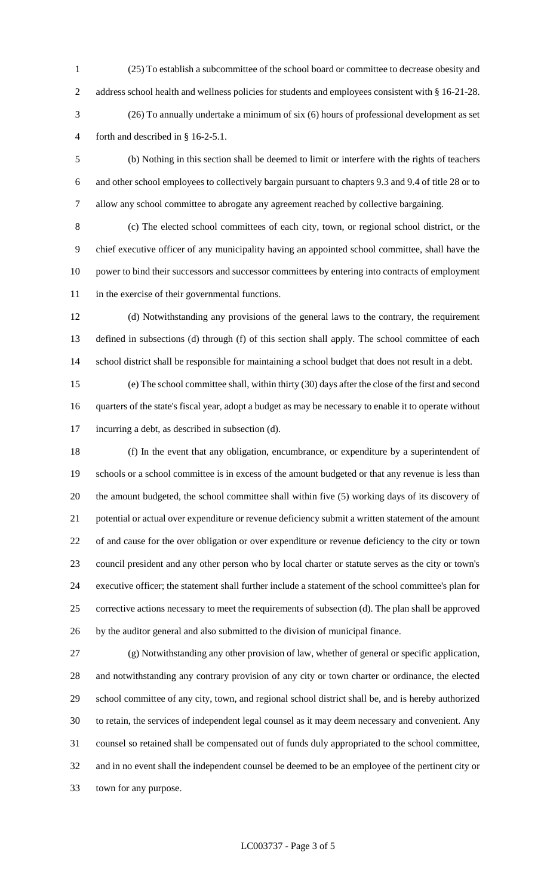(25) To establish a subcommittee of the school board or committee to decrease obesity and 2 address school health and wellness policies for students and employees consistent with § 16-21-28. (26) To annually undertake a minimum of six (6) hours of professional development as set forth and described in § 16-2-5.1.

 (b) Nothing in this section shall be deemed to limit or interfere with the rights of teachers and other school employees to collectively bargain pursuant to chapters 9.3 and 9.4 of title 28 or to allow any school committee to abrogate any agreement reached by collective bargaining.

 (c) The elected school committees of each city, town, or regional school district, or the chief executive officer of any municipality having an appointed school committee, shall have the power to bind their successors and successor committees by entering into contracts of employment in the exercise of their governmental functions.

 (d) Notwithstanding any provisions of the general laws to the contrary, the requirement defined in subsections (d) through (f) of this section shall apply. The school committee of each school district shall be responsible for maintaining a school budget that does not result in a debt.

 (e) The school committee shall, within thirty (30) days after the close of the first and second quarters of the state's fiscal year, adopt a budget as may be necessary to enable it to operate without incurring a debt, as described in subsection (d).

 (f) In the event that any obligation, encumbrance, or expenditure by a superintendent of schools or a school committee is in excess of the amount budgeted or that any revenue is less than the amount budgeted, the school committee shall within five (5) working days of its discovery of potential or actual over expenditure or revenue deficiency submit a written statement of the amount of and cause for the over obligation or over expenditure or revenue deficiency to the city or town council president and any other person who by local charter or statute serves as the city or town's executive officer; the statement shall further include a statement of the school committee's plan for corrective actions necessary to meet the requirements of subsection (d). The plan shall be approved by the auditor general and also submitted to the division of municipal finance.

 (g) Notwithstanding any other provision of law, whether of general or specific application, and notwithstanding any contrary provision of any city or town charter or ordinance, the elected school committee of any city, town, and regional school district shall be, and is hereby authorized to retain, the services of independent legal counsel as it may deem necessary and convenient. Any counsel so retained shall be compensated out of funds duly appropriated to the school committee, and in no event shall the independent counsel be deemed to be an employee of the pertinent city or town for any purpose.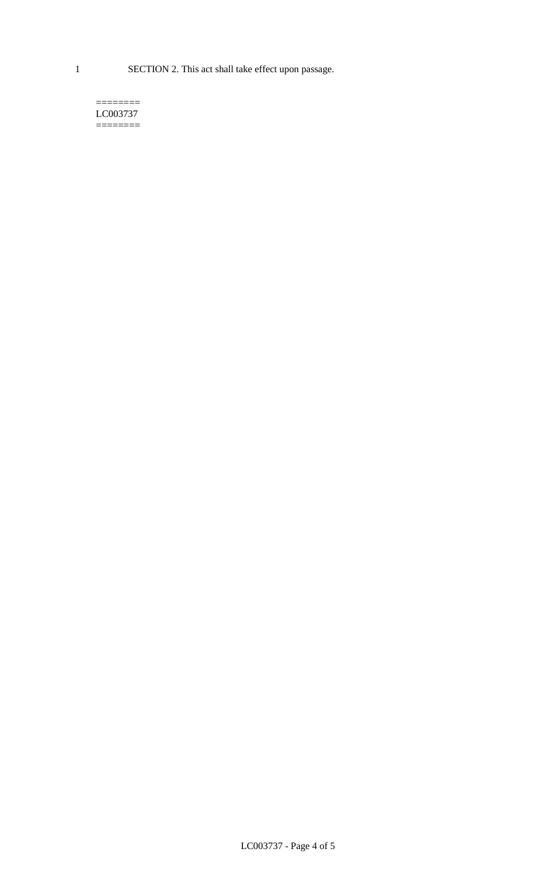1 SECTION 2. This act shall take effect upon passage.